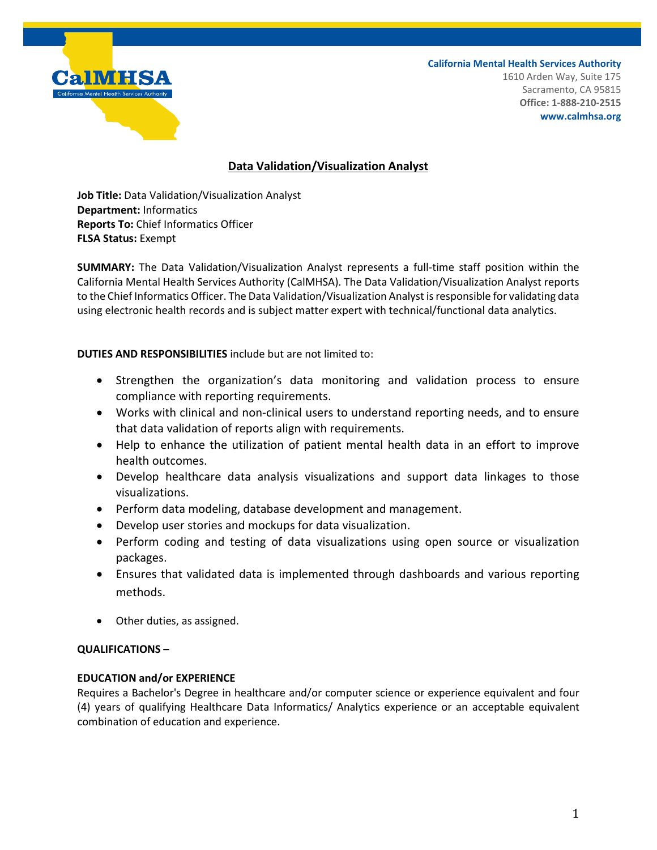

**California Mental Health Services Authority** 1610 Arden Way, Suite 175 Sacramento, CA 95815 **Office: 1-888-210-2515 www.calmhsa.org**

## **Data Validation/Visualization Analyst**

**Job Title:** Data Validation/Visualization Analyst **Department:** Informatics **Reports To:** Chief Informatics Officer **FLSA Status:** Exempt

**SUMMARY:** The Data Validation/Visualization Analyst represents a full-time staff position within the California Mental Health Services Authority (CalMHSA). The Data Validation/Visualization Analyst reports to the Chief Informatics Officer. The Data Validation/Visualization Analyst is responsible for validating data using electronic health records and is subject matter expert with technical/functional data analytics.

## **DUTIES AND RESPONSIBILITIES** include but are not limited to:

- Strengthen the organization's data monitoring and validation process to ensure compliance with reporting requirements.
- Works with clinical and non-clinical users to understand reporting needs, and to ensure that data validation of reports align with requirements.
- Help to enhance the utilization of patient mental health data in an effort to improve health outcomes.
- Develop healthcare data analysis visualizations and support data linkages to those visualizations.
- Perform data modeling, database development and management.
- Develop user stories and mockups for data visualization.
- Perform coding and testing of data visualizations using open source or visualization packages.
- Ensures that validated data is implemented through dashboards and various reporting methods.
- Other duties, as assigned.

## **QUALIFICATIONS –**

## **EDUCATION and/or EXPERIENCE**

Requires a Bachelor's Degree in healthcare and/or computer science or experience equivalent and four (4) years of qualifying Healthcare Data Informatics/ Analytics experience or an acceptable equivalent combination of education and experience.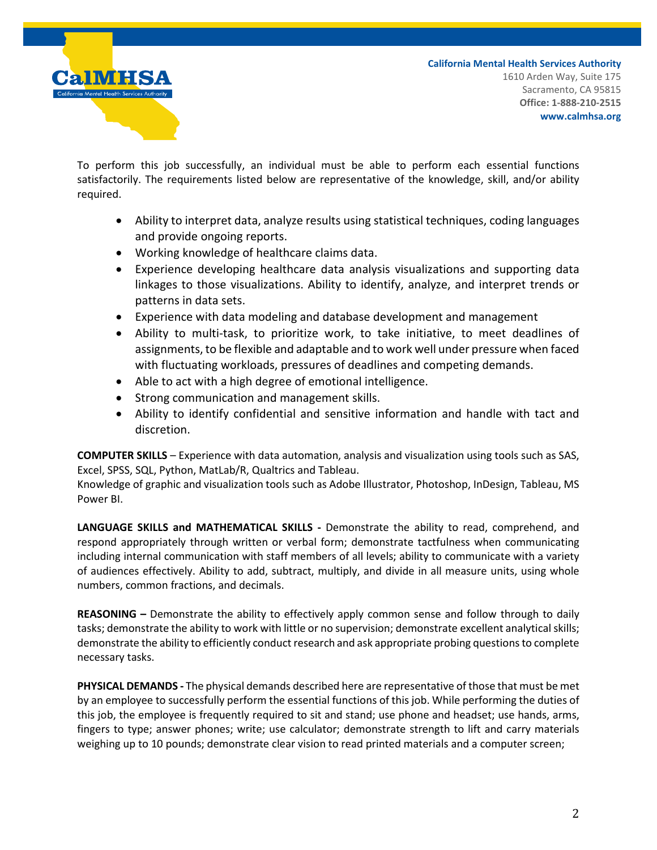

**California Mental Health Services Authority** 1610 Arden Way, Suite 175 Sacramento, CA 95815 **Office: 1-888-210-2515 www.calmhsa.org**

To perform this job successfully, an individual must be able to perform each essential functions satisfactorily. The requirements listed below are representative of the knowledge, skill, and/or ability required.

- Ability to interpret data, analyze results using statistical techniques, coding languages and provide ongoing reports.
- Working knowledge of healthcare claims data.
- Experience developing healthcare data analysis visualizations and supporting data linkages to those visualizations. Ability to identify, analyze, and interpret trends or patterns in data sets.
- Experience with data modeling and database development and management
- Ability to multi-task, to prioritize work, to take initiative, to meet deadlines of assignments, to be flexible and adaptable and to work well under pressure when faced with fluctuating workloads, pressures of deadlines and competing demands.
- Able to act with a high degree of emotional intelligence.
- Strong communication and management skills.
- Ability to identify confidential and sensitive information and handle with tact and discretion.

**COMPUTER SKILLS** – Experience with data automation, analysis and visualization using tools such as SAS, Excel, SPSS, SQL, Python, MatLab/R, Qualtrics and Tableau.

Knowledge of graphic and visualization tools such as Adobe Illustrator, Photoshop, InDesign, Tableau, MS Power BI.

**LANGUAGE SKILLS and MATHEMATICAL SKILLS -** Demonstrate the ability to read, comprehend, and respond appropriately through written or verbal form; demonstrate tactfulness when communicating including internal communication with staff members of all levels; ability to communicate with a variety of audiences effectively. Ability to add, subtract, multiply, and divide in all measure units, using whole numbers, common fractions, and decimals.

**REASONING –** Demonstrate the ability to effectively apply common sense and follow through to daily tasks; demonstrate the ability to work with little or no supervision; demonstrate excellent analytical skills; demonstrate the ability to efficiently conduct research and ask appropriate probing questions to complete necessary tasks.

**PHYSICAL DEMANDS -** The physical demands described here are representative of those that must be met by an employee to successfully perform the essential functions of this job. While performing the duties of this job, the employee is frequently required to sit and stand; use phone and headset; use hands, arms, fingers to type; answer phones; write; use calculator; demonstrate strength to lift and carry materials weighing up to 10 pounds; demonstrate clear vision to read printed materials and a computer screen;